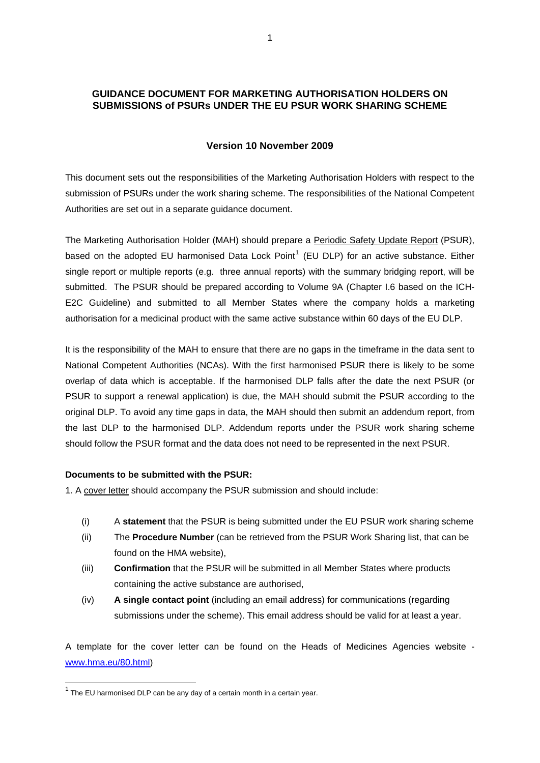## **GUIDANCE DOCUMENT FOR MARKETING AUTHORISATION HOLDERS ON SUBMISSIONS of PSURs UNDER THE EU PSUR WORK SHARING SCHEME**

### **Version 10 November 2009**

This document sets out the responsibilities of the Marketing Authorisation Holders with respect to the submission of PSURs under the work sharing scheme. The responsibilities of the National Competent Authorities are set out in a separate guidance document.

The Marketing Authorisation Holder (MAH) should prepare a Periodic Safety Update Report (PSUR), based on the adopted EU harmonised Data Lock Point<sup>[1](#page-0-0)</sup> (EU DLP) for an active substance. Either single report or multiple reports (e.g. three annual reports) with the summary bridging report, will be submitted. The PSUR should be prepared according to Volume 9A (Chapter I.6 based on the ICH-E2C Guideline) and submitted to all Member States where the company holds a marketing authorisation for a medicinal product with the same active substance within 60 days of the EU DLP.

It is the responsibility of the MAH to ensure that there are no gaps in the timeframe in the data sent to National Competent Authorities (NCAs). With the first harmonised PSUR there is likely to be some overlap of data which is acceptable. If the harmonised DLP falls after the date the next PSUR (or PSUR to support a renewal application) is due, the MAH should submit the PSUR according to the original DLP. To avoid any time gaps in data, the MAH should then submit an addendum report, from the last DLP to the harmonised DLP. Addendum reports under the PSUR work sharing scheme should follow the PSUR format and the data does not need to be represented in the next PSUR.

## **Documents to be submitted with the PSUR:**

1. A cover letter should accompany the PSUR submission and should include:

- (i) A **statement** that the PSUR is being submitted under the EU PSUR work sharing scheme
- (ii) The **Procedure Number** (can be retrieved from the PSUR Work Sharing list, that can be found on the HMA website),
- (iii) **Confirmation** that the PSUR will be submitted in all Member States where products containing the active substance are authorised,
- (iv) **A single contact point** (including an email address) for communications (regarding submissions under the scheme). This email address should be valid for at least a year.

A template for the cover letter can be found on the Heads of Medicines Agencies website [www.hma.eu/80.html](http://www.hma.eu/80.html))

-

<span id="page-0-0"></span> $1$  The EU harmonised DLP can be any day of a certain month in a certain year.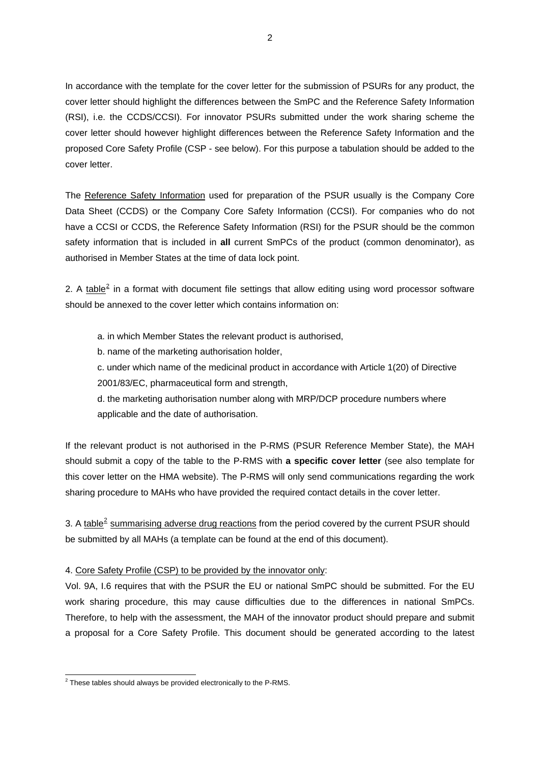In accordance with the template for the cover letter for the submission of PSURs for any product, the cover letter should highlight the differences between the SmPC and the Reference Safety Information (RSI), i.e. the CCDS/CCSI). For innovator PSURs submitted under the work sharing scheme the cover letter should however highlight differences between the Reference Safety Information and the proposed Core Safety Profile (CSP - see below). For this purpose a tabulation should be added to the cover letter.

The Reference Safety Information used for preparation of the PSUR usually is the Company Core Data Sheet (CCDS) or the Company Core Safety Information (CCSI). For companies who do not have a CCSI or CCDS, the Reference Safety Information (RSI) for the PSUR should be the common safety information that is included in **all** current SmPCs of the product (common denominator), as authorised in Member States at the time of data lock point.

[2](#page-1-0). A  $table<sup>2</sup>$  in a format with document file settings that allow editing using word processor software should be annexed to the cover letter which contains information on:

- a. in which Member States the relevant product is authorised,
- b. name of the marketing authorisation holder,

c. under which name of the medicinal product in accordance with Article 1(20) of Directive 2001/83/EC, pharmaceutical form and strength,

d. the marketing authorisation number along with MRP/DCP procedure numbers where applicable and the date of authorisation.

If the relevant product is not authorised in the P-RMS (PSUR Reference Member State), the MAH should submit a copy of the table to the P-RMS with **a specific cover letter** (see also template for this cover letter on the HMA website). The P-RMS will only send communications regarding the work sharing procedure to MAHs who have provided the required contact details in the cover letter.

3. A table<sup>[2](#page-1-1)</sup> summarising adverse drug reactions from the period covered by the current PSUR should be submitted by all MAHs (a template can be found at the end of this document).

#### 4. Core Safety Profile (CSP) to be provided by the innovator only:

Vol. 9A, I.6 requires that with the PSUR the EU or national SmPC should be submitted. For the EU work sharing procedure, this may cause difficulties due to the differences in national SmPCs. Therefore, to help with the assessment, the MAH of the innovator product should prepare and submit a proposal for a Core Safety Profile. This document should be generated according to the latest

<span id="page-1-1"></span><span id="page-1-0"></span> 2 These tables should always be provided electronically to the P-RMS.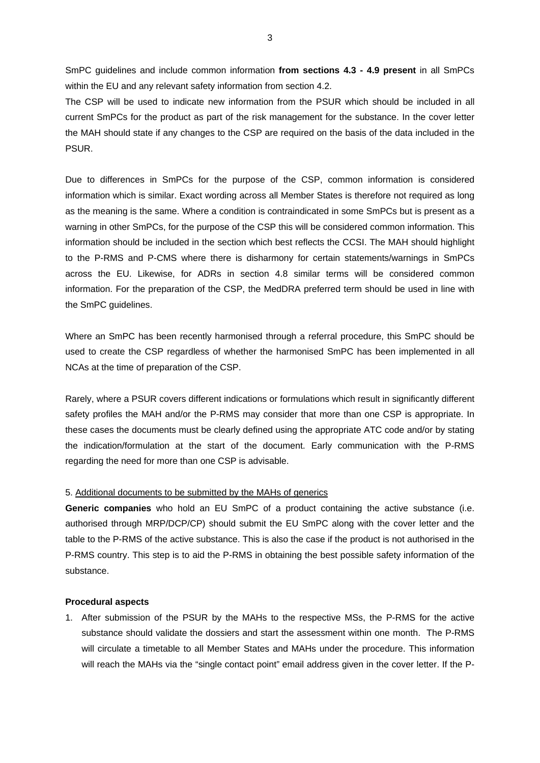SmPC guidelines and include common information **from sections 4.3 - 4.9 present** in all SmPCs within the EU and any relevant safety information from section 4.2.

The CSP will be used to indicate new information from the PSUR which should be included in all current SmPCs for the product as part of the risk management for the substance. In the cover letter the MAH should state if any changes to the CSP are required on the basis of the data included in the PSUR.

Due to differences in SmPCs for the purpose of the CSP, common information is considered information which is similar. Exact wording across all Member States is therefore not required as long as the meaning is the same. Where a condition is contraindicated in some SmPCs but is present as a warning in other SmPCs, for the purpose of the CSP this will be considered common information. This information should be included in the section which best reflects the CCSI. The MAH should highlight to the P-RMS and P-CMS where there is disharmony for certain statements/warnings in SmPCs across the EU. Likewise, for ADRs in section 4.8 similar terms will be considered common information. For the preparation of the CSP, the MedDRA preferred term should be used in line with the SmPC guidelines.

Where an SmPC has been recently harmonised through a referral procedure, this SmPC should be used to create the CSP regardless of whether the harmonised SmPC has been implemented in all NCAs at the time of preparation of the CSP.

Rarely, where a PSUR covers different indications or formulations which result in significantly different safety profiles the MAH and/or the P-RMS may consider that more than one CSP is appropriate. In these cases the documents must be clearly defined using the appropriate ATC code and/or by stating the indication/formulation at the start of the document. Early communication with the P-RMS regarding the need for more than one CSP is advisable.

#### 5. Additional documents to be submitted by the MAHs of generics

**Generic companies** who hold an EU SmPC of a product containing the active substance (i.e. authorised through MRP/DCP/CP) should submit the EU SmPC along with the cover letter and the table to the P-RMS of the active substance. This is also the case if the product is not authorised in the P-RMS country. This step is to aid the P-RMS in obtaining the best possible safety information of the substance.

#### **Procedural aspects**

1. After submission of the PSUR by the MAHs to the respective MSs, the P-RMS for the active substance should validate the dossiers and start the assessment within one month. The P-RMS will circulate a timetable to all Member States and MAHs under the procedure. This information will reach the MAHs via the "single contact point" email address given in the cover letter. If the P-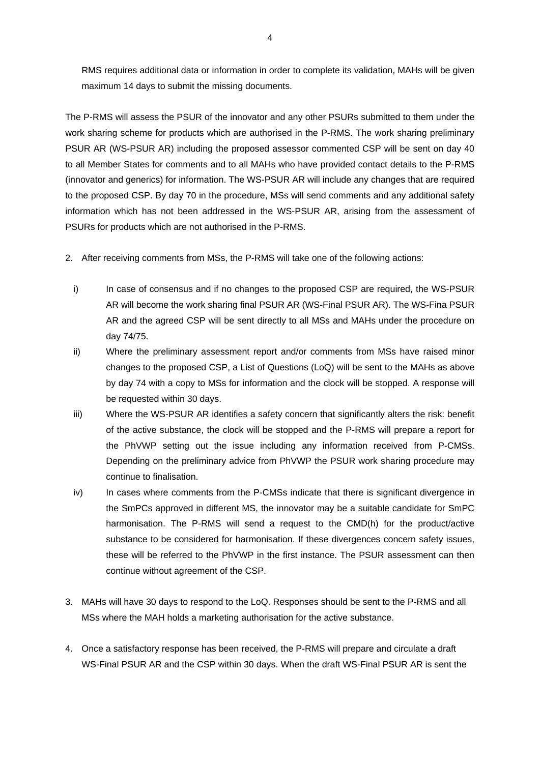RMS requires additional data or information in order to complete its validation, MAHs will be given maximum 14 days to submit the missing documents.

The P-RMS will assess the PSUR of the innovator and any other PSURs submitted to them under the work sharing scheme for products which are authorised in the P-RMS. The work sharing preliminary PSUR AR (WS-PSUR AR) including the proposed assessor commented CSP will be sent on day 40 to all Member States for comments and to all MAHs who have provided contact details to the P-RMS (innovator and generics) for information. The WS-PSUR AR will include any changes that are required to the proposed CSP. By day 70 in the procedure, MSs will send comments and any additional safety information which has not been addressed in the WS-PSUR AR, arising from the assessment of PSURs for products which are not authorised in the P-RMS.

- 2. After receiving comments from MSs, the P-RMS will take one of the following actions:
	- i) In case of consensus and if no changes to the proposed CSP are required, the WS-PSUR AR will become the work sharing final PSUR AR (WS-Final PSUR AR). The WS-Fina PSUR AR and the agreed CSP will be sent directly to all MSs and MAHs under the procedure on day 74/75.
	- ii) Where the preliminary assessment report and/or comments from MSs have raised minor changes to the proposed CSP, a List of Questions (LoQ) will be sent to the MAHs as above by day 74 with a copy to MSs for information and the clock will be stopped. A response will be requested within 30 days.
	- iii) Where the WS-PSUR AR identifies a safety concern that significantly alters the risk: benefit of the active substance, the clock will be stopped and the P-RMS will prepare a report for the PhVWP setting out the issue including any information received from P-CMSs. Depending on the preliminary advice from PhVWP the PSUR work sharing procedure may continue to finalisation.
	- iv) In cases where comments from the P-CMSs indicate that there is significant divergence in the SmPCs approved in different MS, the innovator may be a suitable candidate for SmPC harmonisation. The P-RMS will send a request to the CMD(h) for the product/active substance to be considered for harmonisation. If these divergences concern safety issues, these will be referred to the PhVWP in the first instance. The PSUR assessment can then continue without agreement of the CSP.
- 3. MAHs will have 30 days to respond to the LoQ. Responses should be sent to the P-RMS and all MSs where the MAH holds a marketing authorisation for the active substance.
- 4. Once a satisfactory response has been received, the P-RMS will prepare and circulate a draft WS-Final PSUR AR and the CSP within 30 days. When the draft WS-Final PSUR AR is sent the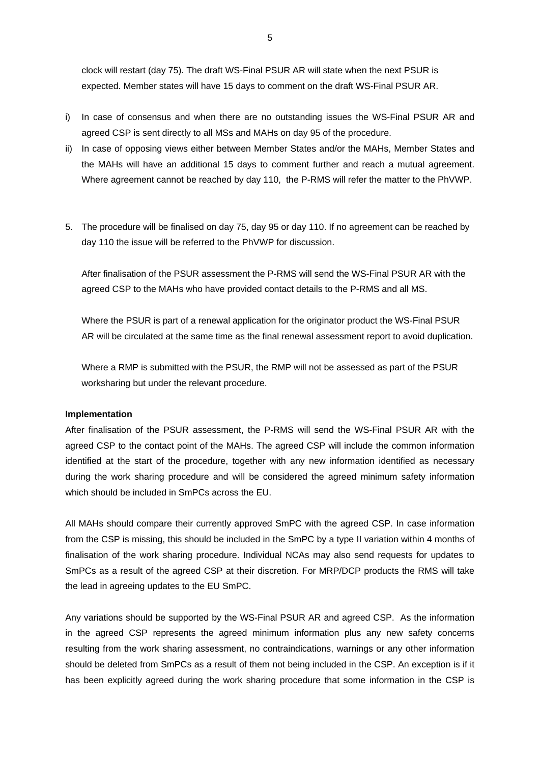clock will restart (day 75). The draft WS-Final PSUR AR will state when the next PSUR is expected. Member states will have 15 days to comment on the draft WS-Final PSUR AR.

- i) In case of consensus and when there are no outstanding issues the WS-Final PSUR AR and agreed CSP is sent directly to all MSs and MAHs on day 95 of the procedure.
- ii) In case of opposing views either between Member States and/or the MAHs, Member States and the MAHs will have an additional 15 days to comment further and reach a mutual agreement. Where agreement cannot be reached by day 110, the P-RMS will refer the matter to the PhVWP.
- 5. The procedure will be finalised on day 75, day 95 or day 110. If no agreement can be reached by day 110 the issue will be referred to the PhVWP for discussion.

After finalisation of the PSUR assessment the P-RMS will send the WS-Final PSUR AR with the agreed CSP to the MAHs who have provided contact details to the P-RMS and all MS.

Where the PSUR is part of a renewal application for the originator product the WS-Final PSUR AR will be circulated at the same time as the final renewal assessment report to avoid duplication.

Where a RMP is submitted with the PSUR, the RMP will not be assessed as part of the PSUR worksharing but under the relevant procedure.

#### **Implementation**

After finalisation of the PSUR assessment, the P-RMS will send the WS-Final PSUR AR with the agreed CSP to the contact point of the MAHs. The agreed CSP will include the common information identified at the start of the procedure, together with any new information identified as necessary during the work sharing procedure and will be considered the agreed minimum safety information which should be included in SmPCs across the EU.

All MAHs should compare their currently approved SmPC with the agreed CSP. In case information from the CSP is missing, this should be included in the SmPC by a type II variation within 4 months of finalisation of the work sharing procedure. Individual NCAs may also send requests for updates to SmPCs as a result of the agreed CSP at their discretion. For MRP/DCP products the RMS will take the lead in agreeing updates to the EU SmPC.

Any variations should be supported by the WS-Final PSUR AR and agreed CSP. As the information in the agreed CSP represents the agreed minimum information plus any new safety concerns resulting from the work sharing assessment, no contraindications, warnings or any other information should be deleted from SmPCs as a result of them not being included in the CSP. An exception is if it has been explicitly agreed during the work sharing procedure that some information in the CSP is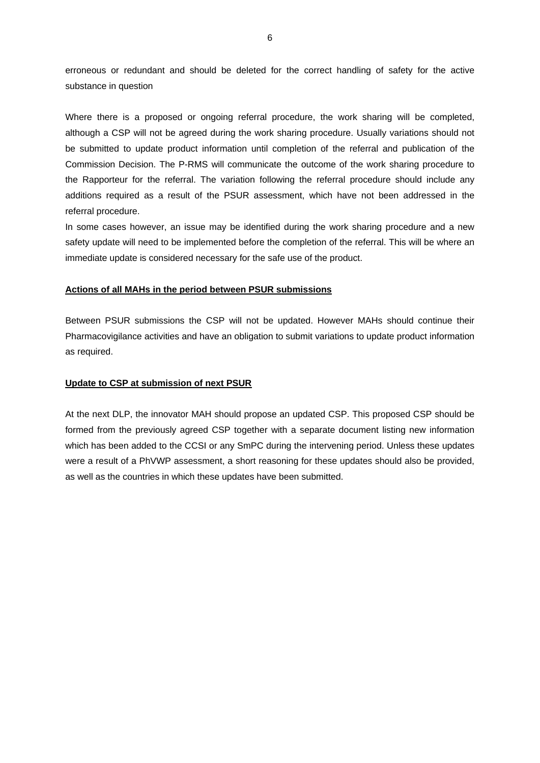erroneous or redundant and should be deleted for the correct handling of safety for the active substance in question

Where there is a proposed or ongoing referral procedure, the work sharing will be completed, although a CSP will not be agreed during the work sharing procedure. Usually variations should not be submitted to update product information until completion of the referral and publication of the Commission Decision. The P-RMS will communicate the outcome of the work sharing procedure to the Rapporteur for the referral. The variation following the referral procedure should include any additions required as a result of the PSUR assessment, which have not been addressed in the referral procedure.

In some cases however, an issue may be identified during the work sharing procedure and a new safety update will need to be implemented before the completion of the referral. This will be where an immediate update is considered necessary for the safe use of the product.

#### **Actions of all MAHs in the period between PSUR submissions**

Between PSUR submissions the CSP will not be updated. However MAHs should continue their Pharmacovigilance activities and have an obligation to submit variations to update product information as required.

#### **Update to CSP at submission of next PSUR**

At the next DLP, the innovator MAH should propose an updated CSP. This proposed CSP should be formed from the previously agreed CSP together with a separate document listing new information which has been added to the CCSI or any SmPC during the intervening period. Unless these updates were a result of a PhVWP assessment, a short reasoning for these updates should also be provided, as well as the countries in which these updates have been submitted.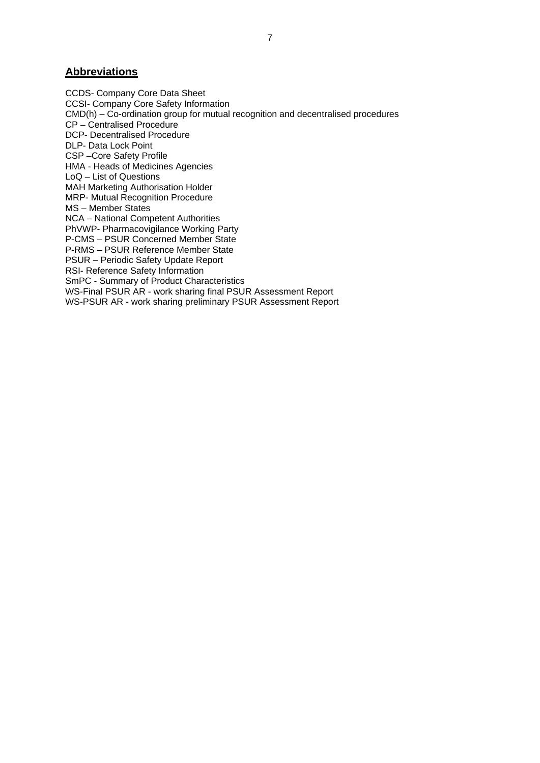## **Abbreviations**

CCDS- Company Core Data Sheet CCSI- Company Core Safety Information CMD(h) – Co-ordination group for mutual recognition and decentralised procedures CP – Centralised Procedure DCP- Decentralised Procedure DLP- Data Lock Point CSP –Core Safety Profile HMA - Heads of Medicines Agencies LoQ – List of Questions MAH Marketing Authorisation Holder MRP- Mutual Recognition Procedure MS – Member States NCA – National Competent Authorities PhVWP- Pharmacovigilance Working Party P-CMS – PSUR Concerned Member State P-RMS – PSUR Reference Member State PSUR – Periodic Safety Update Report RSI- Reference Safety Information SmPC - Summary of Product Characteristics WS-Final PSUR AR - work sharing final PSUR Assessment Report WS-PSUR AR - work sharing preliminary PSUR Assessment Report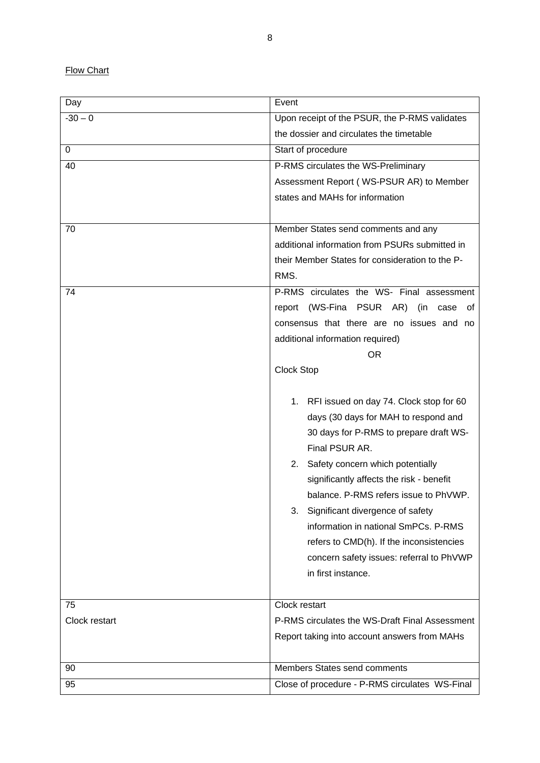**Flow Chart** 

| Day           | Event                                                                                                                                                                                                                                                                                                                                                                                                                                                                      |  |  |  |  |
|---------------|----------------------------------------------------------------------------------------------------------------------------------------------------------------------------------------------------------------------------------------------------------------------------------------------------------------------------------------------------------------------------------------------------------------------------------------------------------------------------|--|--|--|--|
| $-30 - 0$     | Upon receipt of the PSUR, the P-RMS validates                                                                                                                                                                                                                                                                                                                                                                                                                              |  |  |  |  |
|               | the dossier and circulates the timetable                                                                                                                                                                                                                                                                                                                                                                                                                                   |  |  |  |  |
| 0             | Start of procedure                                                                                                                                                                                                                                                                                                                                                                                                                                                         |  |  |  |  |
| 40            | P-RMS circulates the WS-Preliminary                                                                                                                                                                                                                                                                                                                                                                                                                                        |  |  |  |  |
|               | Assessment Report (WS-PSUR AR) to Member                                                                                                                                                                                                                                                                                                                                                                                                                                   |  |  |  |  |
|               | states and MAHs for information                                                                                                                                                                                                                                                                                                                                                                                                                                            |  |  |  |  |
|               |                                                                                                                                                                                                                                                                                                                                                                                                                                                                            |  |  |  |  |
| 70            | Member States send comments and any                                                                                                                                                                                                                                                                                                                                                                                                                                        |  |  |  |  |
|               | additional information from PSURs submitted in                                                                                                                                                                                                                                                                                                                                                                                                                             |  |  |  |  |
|               | their Member States for consideration to the P-                                                                                                                                                                                                                                                                                                                                                                                                                            |  |  |  |  |
|               | RMS.                                                                                                                                                                                                                                                                                                                                                                                                                                                                       |  |  |  |  |
| 74            | P-RMS circulates the WS- Final assessment                                                                                                                                                                                                                                                                                                                                                                                                                                  |  |  |  |  |
|               | report (WS-Fina PSUR AR) (in case<br>ot                                                                                                                                                                                                                                                                                                                                                                                                                                    |  |  |  |  |
|               | consensus that there are no issues and no                                                                                                                                                                                                                                                                                                                                                                                                                                  |  |  |  |  |
|               | additional information required)                                                                                                                                                                                                                                                                                                                                                                                                                                           |  |  |  |  |
|               | <b>OR</b>                                                                                                                                                                                                                                                                                                                                                                                                                                                                  |  |  |  |  |
|               | Clock Stop                                                                                                                                                                                                                                                                                                                                                                                                                                                                 |  |  |  |  |
|               | 1. RFI issued on day 74. Clock stop for 60<br>days (30 days for MAH to respond and<br>30 days for P-RMS to prepare draft WS-<br>Final PSUR AR.<br>2. Safety concern which potentially<br>significantly affects the risk - benefit<br>balance. P-RMS refers issue to PhVWP.<br>Significant divergence of safety<br>3.<br>information in national SmPCs. P-RMS<br>refers to CMD(h). If the inconsistencies<br>concern safety issues: referral to PhVWP<br>in first instance. |  |  |  |  |
| 75            | Clock restart                                                                                                                                                                                                                                                                                                                                                                                                                                                              |  |  |  |  |
| Clock restart | P-RMS circulates the WS-Draft Final Assessment                                                                                                                                                                                                                                                                                                                                                                                                                             |  |  |  |  |
|               | Report taking into account answers from MAHs                                                                                                                                                                                                                                                                                                                                                                                                                               |  |  |  |  |
| 90            | Members States send comments                                                                                                                                                                                                                                                                                                                                                                                                                                               |  |  |  |  |
|               |                                                                                                                                                                                                                                                                                                                                                                                                                                                                            |  |  |  |  |
| 95            | Close of procedure - P-RMS circulates WS-Final                                                                                                                                                                                                                                                                                                                                                                                                                             |  |  |  |  |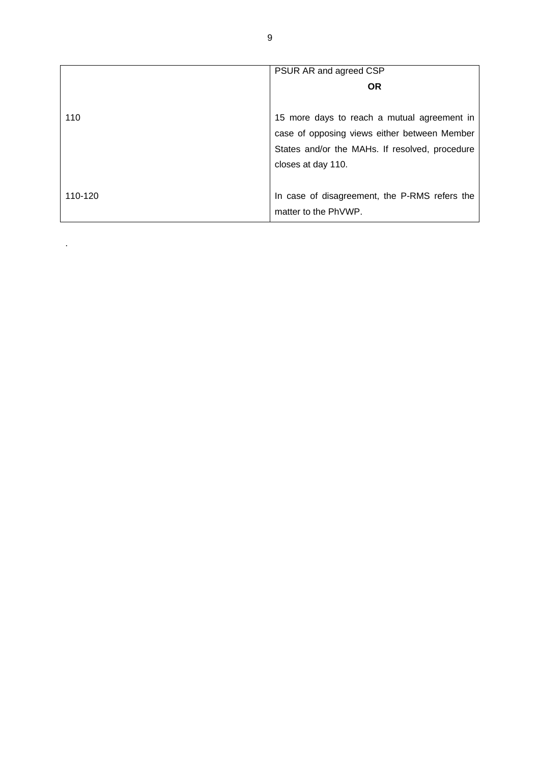|         | PSUR AR and agreed CSP                         |  |  |  |
|---------|------------------------------------------------|--|--|--|
|         | <b>OR</b>                                      |  |  |  |
|         |                                                |  |  |  |
| 110     | 15 more days to reach a mutual agreement in    |  |  |  |
|         | case of opposing views either between Member   |  |  |  |
|         | States and/or the MAHs. If resolved, procedure |  |  |  |
|         | closes at day 110.                             |  |  |  |
|         |                                                |  |  |  |
| 110-120 | In case of disagreement, the P-RMS refers the  |  |  |  |
|         | matter to the PhVWP.                           |  |  |  |

.